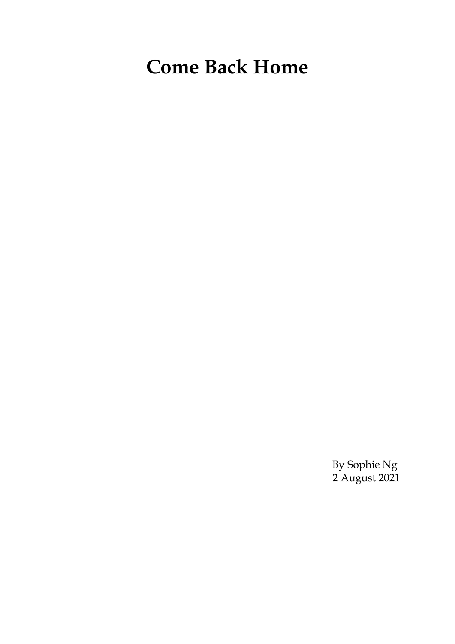# **Come Back Home**

By Sophie Ng 2 August 2021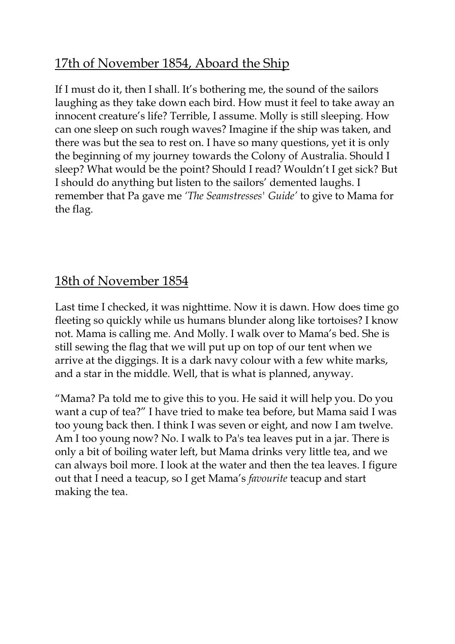# 17th of November 1854, Aboard the Ship

If I must do it, then I shall. It's bothering me, the sound of the sailors laughing as they take down each bird. How must it feel to take away an innocent creature's life? Terrible, I assume. Molly is still sleeping. How can one sleep on such rough waves? Imagine if the ship was taken, and there was but the sea to rest on. I have so many questions, yet it is only the beginning of my journey towards the Colony of Australia. Should I sleep? What would be the point? Should I read? Wouldn't I get sick? But I should do anything but listen to the sailors' demented laughs. I remember that Pa gave me *'The Seamstresses' Guide'* to give to Mama for the flag.

# 18th of November 1854

Last time I checked, it was nighttime. Now it is dawn. How does time go fleeting so quickly while us humans blunder along like tortoises? I know not. Mama is calling me. And Molly. I walk over to Mama's bed. She is still sewing the flag that we will put up on top of our tent when we arrive at the diggings. It is a dark navy colour with a few white marks, and a star in the middle. Well, that is what is planned, anyway.

"Mama? Pa told me to give this to you. He said it will help you. Do you want a cup of tea?" I have tried to make tea before, but Mama said I was too young back then. I think I was seven or eight, and now I am twelve. Am I too young now? No. I walk to Pa's tea leaves put in a jar. There is only a bit of boiling water left, but Mama drinks very little tea, and we can always boil more. I look at the water and then the tea leaves. I figure out that I need a teacup, so I get Mama's *favourite* teacup and start making the tea.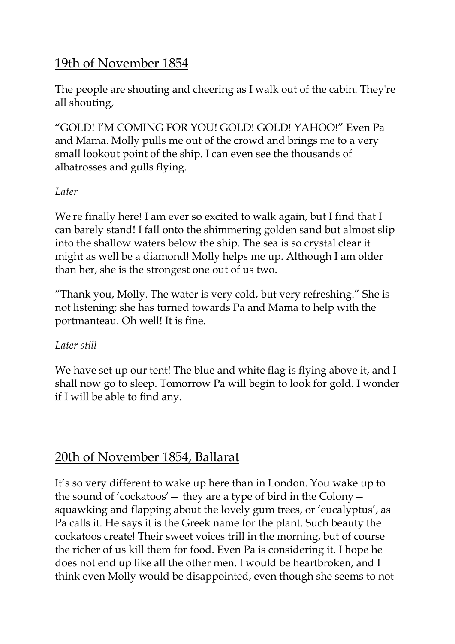# 19th of November 1854

The people are shouting and cheering as I walk out of the cabin. They're all shouting,

"GOLD! I'M COMING FOR YOU! GOLD! GOLD! YAHOO!" Even Pa and Mama. Molly pulls me out of the crowd and brings me to a very small lookout point of the ship. I can even see the thousands of albatrosses and gulls flying.

#### *Later*

We're finally here! I am ever so excited to walk again, but I find that I can barely stand! I fall onto the shimmering golden sand but almost slip into the shallow waters below the ship. The sea is so crystal clear it might as well be a diamond! Molly helps me up. Although I am older than her, she is the strongest one out of us two.

"Thank you, Molly. The water is very cold, but very refreshing." She is not listening; she has turned towards Pa and Mama to help with the portmanteau. Oh well! It is fine.

#### *Later still*

We have set up our tent! The blue and white flag is flying above it, and I shall now go to sleep. Tomorrow Pa will begin to look for gold. I wonder if I will be able to find any.

### 20th of November 1854, Ballarat

It's so very different to wake up here than in London. You wake up to the sound of 'cockatoos'— they are a type of bird in the Colony squawking and flapping about the lovely gum trees, or 'eucalyptus', as Pa calls it. He says it is the Greek name for the plant. Such beauty the cockatoos create! Their sweet voices trill in the morning, but of course the richer of us kill them for food. Even Pa is considering it. I hope he does not end up like all the other men. I would be heartbroken, and I think even Molly would be disappointed, even though she seems to not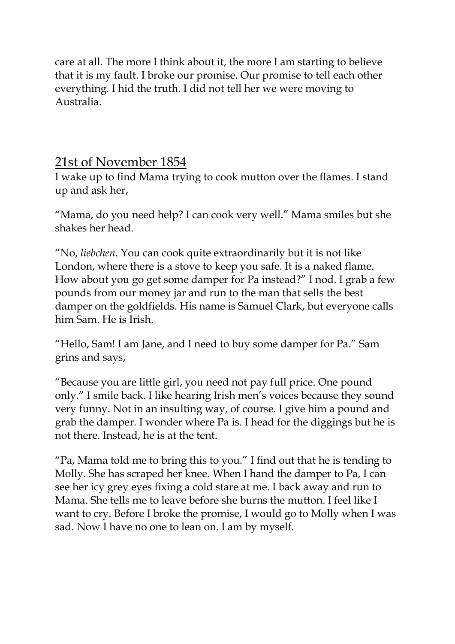care at all. The more I think about it, the more I am starting to believe that it is my fault. I broke our promise. Our promise to tell each other everything. I hid the truth. I did not tell her we were moving to Australia.

### 21st of November 1854

I wake up to find Mama trying to cook mutton over the flames. I stand up and ask her,

"Mama, do you need help? I can cook very well." Mama smiles but she shakes her head.

"No, *liebchen.* You can cook quite extraordinarily but it is not like London, where there is a stove to keep you safe. It is a naked flame. How about you go get some damper for Pa instead?" I nod. I grab a few pounds from our money jar and run to the man that sells the best damper on the goldfields. His name is Samuel Clark, but everyone calls him Sam. He is Irish.

"Hello, Sam! I am Jane, and I need to buy some damper for Pa." Sam grins and says,

"Because you are little girl, you need not pay full price. One pound only." I smile back. I like hearing Irish men's voices because they sound very funny. Not in an insulting way, of course. I give him a pound and grab the damper. I wonder where Pa is. I head for the diggings but he is not there. Instead, he is at the tent.

"Pa, Mama told me to bring this to you." I find out that he is tending to Molly. She has scraped her knee. When I hand the damper to Pa, I can see her icy grey eyes fixing a cold stare at me. I back away and run to Mama. She tells me to leave before she burns the mutton. I feel like I want to cry. Before I broke the promise, I would go to Molly when I was sad. Now I have no one to lean on. I am by myself.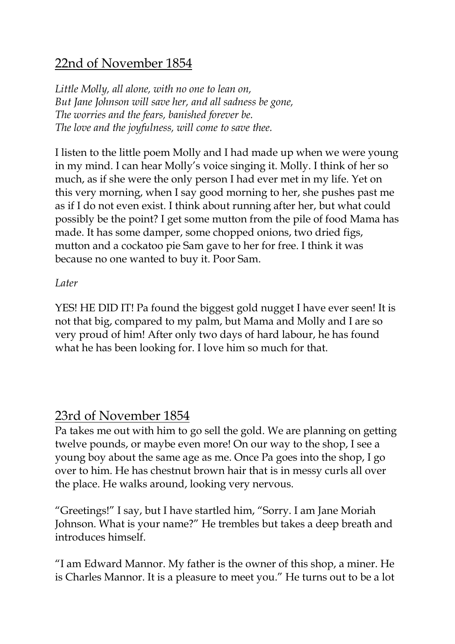# 22nd of November 1854

*Little Molly, all alone, with no one to lean on, But Jane Johnson will save her, and all sadness be gone, The worries and the fears, banished forever be. The love and the joyfulness, will come to save thee.*

I listen to the little poem Molly and I had made up when we were young in my mind. I can hear Molly's voice singing it. Molly. I think of her so much, as if she were the only person I had ever met in my life. Yet on this very morning, when I say good morning to her, she pushes past me as if I do not even exist. I think about running after her, but what could possibly be the point? I get some mutton from the pile of food Mama has made. It has some damper, some chopped onions, two dried figs, mutton and a cockatoo pie Sam gave to her for free. I think it was because no one wanted to buy it. Poor Sam.

#### *Later*

YES! HE DID IT! Pa found the biggest gold nugget I have ever seen! It is not that big, compared to my palm, but Mama and Molly and I are so very proud of him! After only two days of hard labour, he has found what he has been looking for. I love him so much for that.

#### 23rd of November 1854

Pa takes me out with him to go sell the gold. We are planning on getting twelve pounds, or maybe even more! On our way to the shop, I see a young boy about the same age as me. Once Pa goes into the shop, I go over to him. He has chestnut brown hair that is in messy curls all over the place. He walks around, looking very nervous.

"Greetings!" I say, but I have startled him, "Sorry. I am Jane Moriah Johnson. What is your name?" He trembles but takes a deep breath and introduces himself.

"I am Edward Mannor. My father is the owner of this shop, a miner. He is Charles Mannor. It is a pleasure to meet you." He turns out to be a lot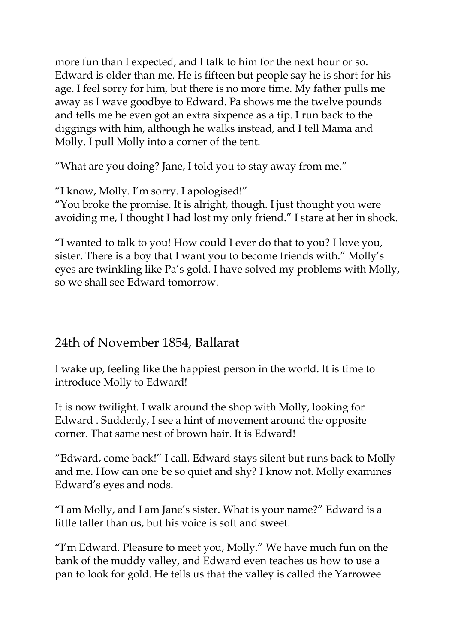more fun than I expected, and I talk to him for the next hour or so. Edward is older than me. He is fifteen but people say he is short for his age. I feel sorry for him, but there is no more time. My father pulls me away as I wave goodbye to Edward. Pa shows me the twelve pounds and tells me he even got an extra sixpence as a tip. I run back to the diggings with him, although he walks instead, and I tell Mama and Molly. I pull Molly into a corner of the tent.

"What are you doing? Jane, I told you to stay away from me."

"I know, Molly. I'm sorry. I apologised!"

"You broke the promise. It is alright, though. I just thought you were avoiding me, I thought I had lost my only friend." I stare at her in shock.

"I wanted to talk to you! How could I ever do that to you? I love you, sister. There is a boy that I want you to become friends with." Molly's eyes are twinkling like Pa's gold. I have solved my problems with Molly, so we shall see Edward tomorrow.

## 24th of November 1854, Ballarat

I wake up, feeling like the happiest person in the world. It is time to introduce Molly to Edward!

It is now twilight. I walk around the shop with Molly, looking for Edward . Suddenly, I see a hint of movement around the opposite corner. That same nest of brown hair. It is Edward!

"Edward, come back!" I call. Edward stays silent but runs back to Molly and me. How can one be so quiet and shy? I know not. Molly examines Edward's eyes and nods.

"I am Molly, and I am Jane's sister. What is your name?" Edward is a little taller than us, but his voice is soft and sweet.

"I'm Edward. Pleasure to meet you, Molly." We have much fun on the bank of the muddy valley, and Edward even teaches us how to use a pan to look for gold. He tells us that the valley is called the Yarrowee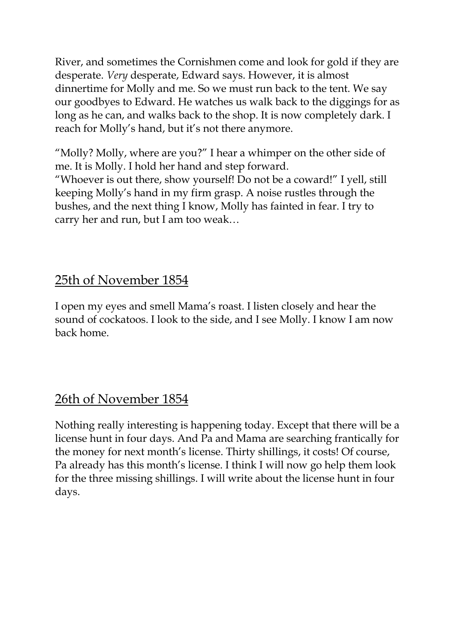River, and sometimes the Cornishmen come and look for gold if they are desperate. *Very* desperate, Edward says. However, it is almost dinnertime for Molly and me. So we must run back to the tent. We say our goodbyes to Edward. He watches us walk back to the diggings for as long as he can, and walks back to the shop. It is now completely dark. I reach for Molly's hand, but it's not there anymore.

"Molly? Molly, where are you?" I hear a whimper on the other side of me. It is Molly. I hold her hand and step forward.

"Whoever is out there, show yourself! Do not be a coward!" I yell, still keeping Molly's hand in my firm grasp. A noise rustles through the bushes, and the next thing I know, Molly has fainted in fear. I try to carry her and run, but I am too weak…

# 25th of November 1854

I open my eyes and smell Mama's roast. I listen closely and hear the sound of cockatoos. I look to the side, and I see Molly. I know I am now back home.

# 26th of November 1854

Nothing really interesting is happening today. Except that there will be a license hunt in four days. And Pa and Mama are searching frantically for the money for next month's license. Thirty shillings, it costs! Of course, Pa already has this month's license. I think I will now go help them look for the three missing shillings. I will write about the license hunt in four days.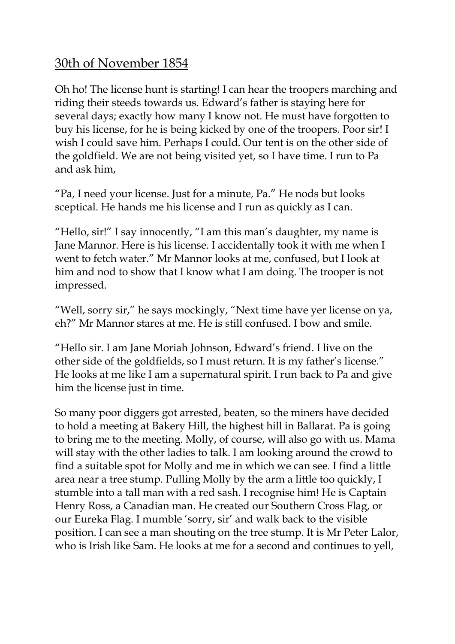## 30th of November 1854

Oh ho! The license hunt is starting! I can hear the troopers marching and riding their steeds towards us. Edward's father is staying here for several days; exactly how many I know not. He must have forgotten to buy his license, for he is being kicked by one of the troopers. Poor sir! I wish I could save him. Perhaps I could. Our tent is on the other side of the goldfield. We are not being visited yet, so I have time. I run to Pa and ask him,

"Pa, I need your license. Just for a minute, Pa." He nods but looks sceptical. He hands me his license and I run as quickly as I can.

"Hello, sir!" I say innocently, "I am this man's daughter, my name is Jane Mannor. Here is his license. I accidentally took it with me when I went to fetch water." Mr Mannor looks at me, confused, but I look at him and nod to show that I know what I am doing. The trooper is not impressed.

"Well, sorry sir," he says mockingly, "Next time have yer license on ya, eh?" Mr Mannor stares at me. He is still confused. I bow and smile.

"Hello sir. I am Jane Moriah Johnson, Edward's friend. I live on the other side of the goldfields, so I must return. It is my father's license." He looks at me like I am a supernatural spirit. I run back to Pa and give him the license just in time.

So many poor diggers got arrested, beaten, so the miners have decided to hold a meeting at Bakery Hill, the highest hill in Ballarat. Pa is going to bring me to the meeting. Molly, of course, will also go with us. Mama will stay with the other ladies to talk. I am looking around the crowd to find a suitable spot for Molly and me in which we can see. I find a little area near a tree stump. Pulling Molly by the arm a little too quickly, I stumble into a tall man with a red sash. I recognise him! He is Captain Henry Ross, a Canadian man. He created our Southern Cross Flag, or our Eureka Flag. I mumble 'sorry, sir' and walk back to the visible position. I can see a man shouting on the tree stump. It is Mr Peter Lalor, who is Irish like Sam. He looks at me for a second and continues to yell,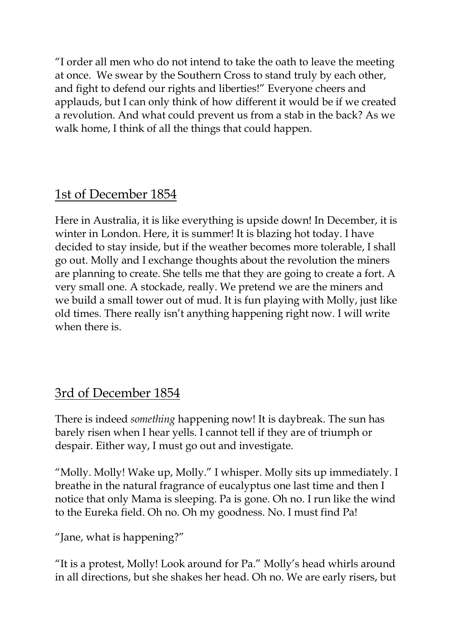"I order all men who do not intend to take the oath to leave the meeting at once. We swear by the Southern Cross to stand truly by each other, and fight to defend our rights and liberties!" Everyone cheers and applauds, but I can only think of how different it would be if we created a revolution. And what could prevent us from a stab in the back? As we walk home, I think of all the things that could happen.

## 1st of December 1854

Here in Australia, it is like everything is upside down! In December, it is winter in London. Here, it is summer! It is blazing hot today. I have decided to stay inside, but if the weather becomes more tolerable, I shall go out. Molly and I exchange thoughts about the revolution the miners are planning to create. She tells me that they are going to create a fort. A very small one. A stockade, really. We pretend we are the miners and we build a small tower out of mud. It is fun playing with Molly, just like old times. There really isn't anything happening right now. I will write when there is

## 3rd of December 1854

There is indeed *something* happening now! It is daybreak. The sun has barely risen when I hear yells. I cannot tell if they are of triumph or despair. Either way, I must go out and investigate.

"Molly. Molly! Wake up, Molly." I whisper. Molly sits up immediately. I breathe in the natural fragrance of eucalyptus one last time and then I notice that only Mama is sleeping. Pa is gone. Oh no. I run like the wind to the Eureka field. Oh no. Oh my goodness. No. I must find Pa!

"Jane, what is happening?"

"It is a protest, Molly! Look around for Pa." Molly's head whirls around in all directions, but she shakes her head. Oh no. We are early risers, but